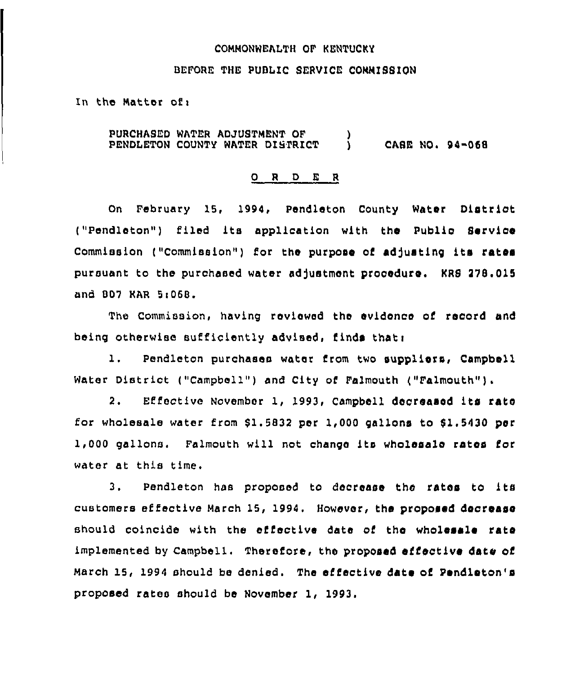### COMMONWEALTH OP KENTUCKY

#### BEFORE THE PUBLIC SERVICE COMMISSION

In the Matter of:

PURCHASED WATER ADJUSTMENT OF PENDLETON COUNTY WATER DISTRICT ) ) CASE NOa 94-068

#### O R D E R

On February 15, 1994, Pendleton County Water District ("Pendleton") filed its application with the Public Service Commission ("Commission") for the purpose of adfusting its rates pursuant to the purchased water adfustmont procoduro. KRS 278.015 and BD7 KAR 5<068.

The Commission, having roviewed tho evidonco of record and being otherwiso sufficiently advised, finds thati

l. Pendleton purchases water from two suppliors, Campbell Water District ("Campbell") and City of Falmouth ("Falmouth").

2. Effoctive November 1, 1993, Campbell docreasod its rato for wholesale water from 81.5832 per 1,000 gallons to f1.5430 por 1>000 gallons. Palmouth will not chango its wholeaalo rates for water at this time.

3. pendleton has proposed to docrease tho ratos to its customers effective March 15, 1994, However, the proposed decrease should coincide with the effective date of the wholesale rate implemented by Campbell. Therefore, the proposed effective date of March 15, 1994 should be denied. The effective date of Pendleton'a proposed rates should be November 1, 1993.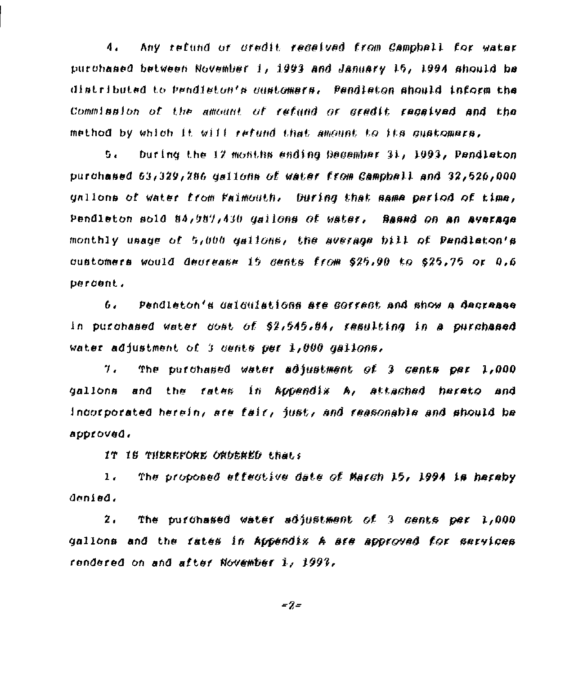Any refund of oredit regeived from Campbell for water  $\mathbf{A}$ purchased between November 1, 1993 and January 15, 1994 should be distributed to pendieton's oustomars. Pendieton should inform the Commission of the amount of refund or gradit repeived and the method by which it will retund that amount to its quatomars.

bu l buring the 12 months ending December 31, 1993, Pendleton purchased 63,329,286 dallons of water from Campball and 32,526,000 unlions of water from Faimouth, During that same pariod of time, Pendleton sold 84,987,430 gallons of water. Based on an average monthly usage of 5,000 gallons, the average bill of Pendlaton's oustomers would deurease 15 gents from \$25,90 to \$25,75 or 0,6 berdent.

Pendleton's dalaulations are sorrest and show a dagraase 6. in purchased water cost of \$2,545.84, resulting in a purchased water adjustment of 3 dents per 1,000 dallons,

The putchased water adjustment of 3 cents per 1,000  $\mathcal{T}$ . and the rates in Appendix A, attached hereto and dallons incorporated herein, are fair, just, and reasonable and should be approved.

IT IS THEREFORE ORDERED that's

The proposed effective date of March 15, 1994 is haraby  $1.$ denied.

 $\mathbf{z}$ . The purchased water adjustment of 3 cents per 1,000 gallons and the fates in Appendix A are approved for services rendered on and after November 1, 1997,

 $= 2 =$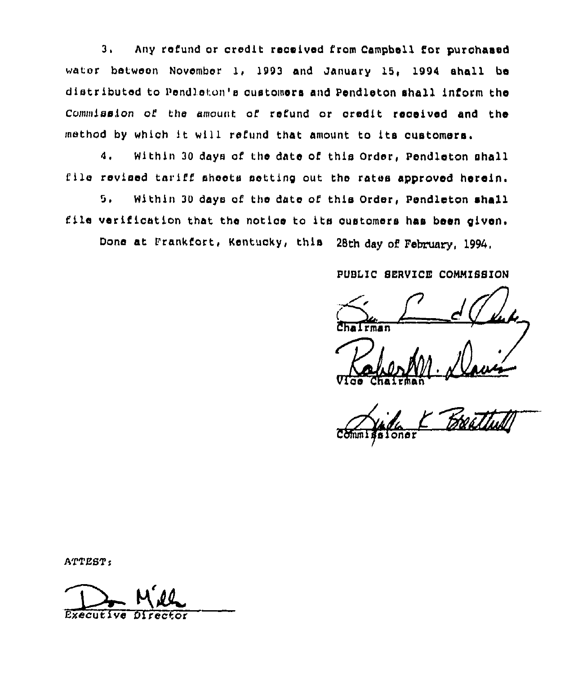3, Any refund or credit received from Campbell for purohaeed wator between November 1, 1993 and January 15< 1994 shall be distributed to Pendleton's customers and Pendleton shall inform the Commission of the amount of refund or oredit received and the method by which it wiii refund that amount to its customers.

4. Within 30 days of the date of this Order, Pendleton shall file revised tariff sheets setting out the rates approved herein.

Within 30 days of the date of this Order, Pendleton shall  $5.$ file verification that the notice to its customers has been given.

Done at Frankfort, Kentucky, this 28th day of February, 1994,

PUBLIC SERVICE CONMISSION

 $d$  ( luk. Chaliman Veux

Vice Chairma

sioner

ATTEST:

ATTEST:<br>Executive Direct Executive Direct